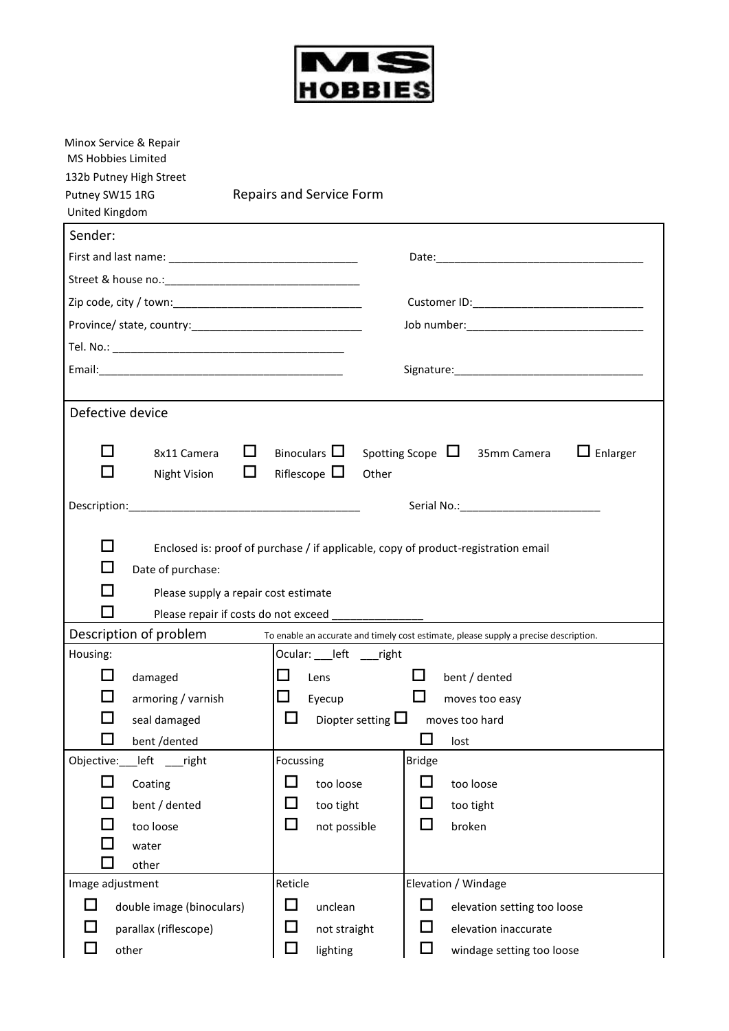

| Minox Service & Repair<br><b>MS Hobbies Limited</b> |                                                                                      |
|-----------------------------------------------------|--------------------------------------------------------------------------------------|
| 132b Putney High Street                             |                                                                                      |
| Putney SW15 1RG                                     | <b>Repairs and Service Form</b>                                                      |
| United Kingdom                                      |                                                                                      |
| Sender:                                             |                                                                                      |
|                                                     |                                                                                      |
|                                                     |                                                                                      |
|                                                     |                                                                                      |
|                                                     |                                                                                      |
|                                                     |                                                                                      |
|                                                     |                                                                                      |
| Defective device                                    |                                                                                      |
|                                                     |                                                                                      |
| - 1<br>$\Box$<br>8x11 Camera                        | Binoculars $\Box$<br>$\Box$ Enlarger<br>Spotting Scope $\Box$ 35mm Camera            |
| $\Box$<br>Night Vision                              | Riflescope $\Box$<br>Other                                                           |
|                                                     |                                                                                      |
|                                                     |                                                                                      |
| - 1                                                 | Enclosed is: proof of purchase / if applicable, copy of product-registration email   |
| Date of purchase:                                   |                                                                                      |
| Please supply a repair cost estimate                |                                                                                      |
| Please repair if costs do not exceed                |                                                                                      |
| Description of problem                              | To enable an accurate and timely cost estimate, please supply a precise description. |
| Housing:                                            | Ocular: ___ left ___ right                                                           |
| damaged                                             | $\Box$<br>bent / dented<br>Lens                                                      |
| $\mathcal{L}_{\mathcal{A}}$<br>armoring / varnish   | $\overline{\phantom{a}}$<br>Eyecup<br>moves too easy                                 |
| seal damaged                                        | ப<br>Diopter setting $\square$<br>moves too hard                                     |
| bent /dented                                        | lost                                                                                 |
| Objective: __ left<br>$\sqrt{ }$ right              | Focussing<br><b>Bridge</b>                                                           |
| $\Box$<br>Coating                                   | $\Box$<br>ப<br>too loose<br>too loose                                                |
| bent / dented                                       | ⊔<br>too tight<br>too tight                                                          |
| too loose                                           | □<br>not possible<br>broken                                                          |
| water                                               |                                                                                      |
| other<br>Image adjustment                           | Reticle<br>Elevation / Windage                                                       |
| l l<br>double image (binoculars)                    | □<br>unclean<br>elevation setting too loose                                          |
| parallax (riflescope)                               | $\Box$<br>elevation inaccurate<br>not straight                                       |
| other                                               | $\Box$<br>lighting<br>windage setting too loose                                      |